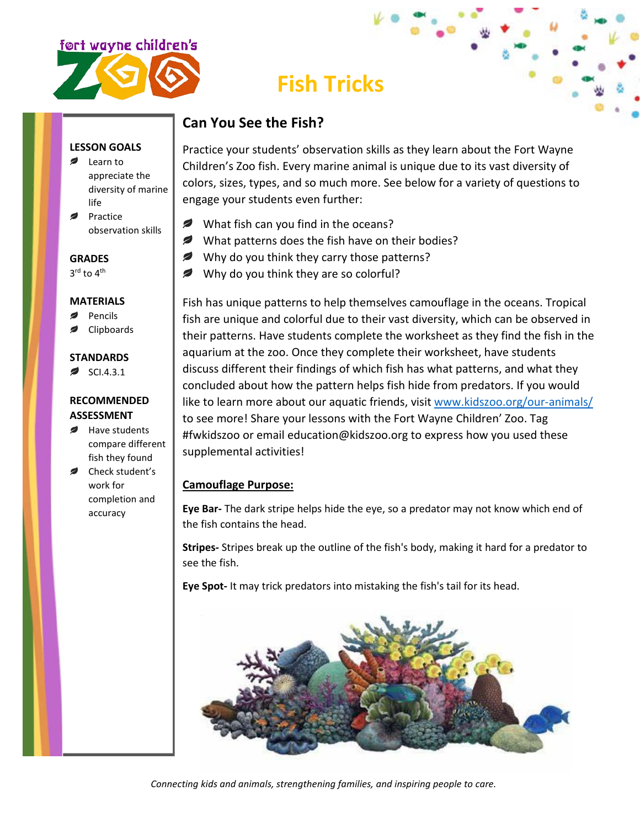

# **Fish Tricks**

# **Can You See the Fish?**

Practice your students' observation skills as they learn about the Fort Wayne Children's Zoo fish. Every marine animal is unique due to its vast diversity of colors, sizes, types, and so much more. See below for a variety of questions to engage your students even further:

- What fish can you find in the oceans?
- What patterns does the fish have on their bodies?
- Why do you think they carry those patterns?
- Why do you think they are so colorful?

Fish has unique patterns to help themselves camouflage in the oceans. Tropical fish are unique and colorful due to their vast diversity, which can be observed in their patterns. Have students complete the worksheet as they find the fish in the aquarium at the zoo. Once they complete their worksheet, have students discuss different their findings of which fish has what patterns, and what they concluded about how the pattern helps fish hide from predators. If you would like to learn more about our aquatic friends, visit [www.kidszoo.org/our-animals/](http://www.kidszoo.org/our-animals/) to see more! Share your lessons with the Fort Wayne Children' Zoo. Tag #fwkidszoo or email education@kidszoo.org to express how you used these supplemental activities!

# **Camouflage Purpose:**

**Eye Bar-** The dark stripe helps hide the eye, so a predator may not know which end of the fish contains the head.

**Stripes-** Stripes break up the outline of the fish's body, making it hard for a predator to see the fish.

**Eye Spot-** It may trick predators into mistaking the fish's tail for its head.



*Connecting kids and animals, strengthening families, and inspiring people to care.*

#### **LESSON GOALS**

- **■** Learn to appreciate the diversity of marine life
- Practice observation skills

### **GRADES**

3<sup>rd</sup> to 4<sup>th</sup>

#### **MATERIALS**

- Pencils
- Clipboards

## **STANDARDS**

 $\approx$  SCI.4.3.1

#### **RECOMMENDED ASSESSMENT**

- Have students compare different fish they found
- Check student's work for completion and accuracy